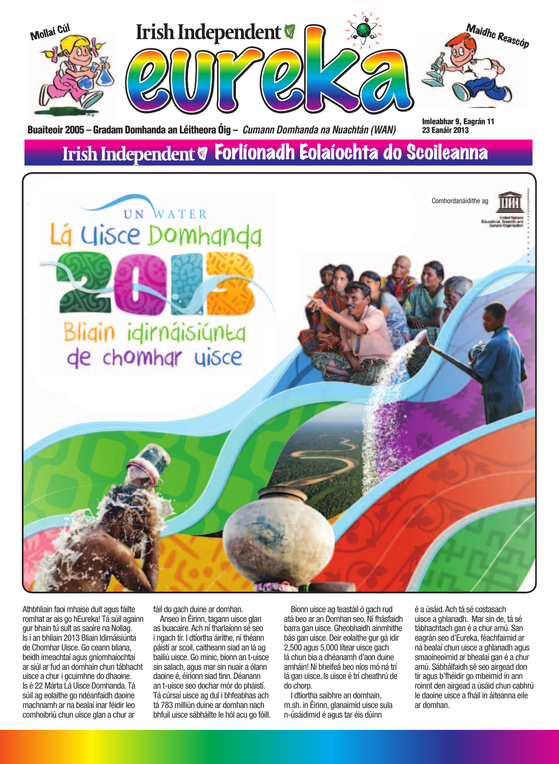

Athbhliain faoi mhaise duit agus fáilte romhat ar ais go hEureka! Tá súil againn gur bhain tú sult as saoire na Nollag. Is í an bhliain 2013 Bliain Idirnáisiúnta de Chomhar Uisce. Go ceann bliana, beidh imeachtaí agus gníomhaíochtaí ar siúl ar fud an domhain chun tábhacht uisce a chur i gcuimhne do dhaoine. Is é 22 Márta Lá Uisce Domhanda. Tá súil ag eolaithe go ndéanfaidh daoine machnamh ar na bealaí inar féidir leo comhoibriú chun uisce glan a chur ar

fáil do gach duine ar domhan.

Anseo in Éirinn, tagann uisce glan as buacaire. Ach ní tharlaíonn sé seo i ngach tír. I dtíortha áirithe, ní théann páistí ar scoil, caitheann siad an lá ag bailiú uisce. Go minic, bíonn an t-uisce sin salach, agus mar sin nuair a ólann daoine é, éiríonn siad tinn. Déanann an t-uisce seo dochar mór do pháistí. Tá cúrsaí uisce ag dul i bhfeabhas ach tá 783 milliún duine ar domhan nach bhfuil uisce sábháilte le hól acu go fóill.

Bíonn uisce ag teastáil ó gach rud atá beo ar an Domhan seo. Ní fhásfaidh barra gan uisce. Gheobhaidh ainmhithe bás gan uisce. Deir eolaithe gur gá idir 2,500 agus 5,000 lítear uisce gach lá chun bia a dhéanamh d'aon duine amháin! Ní bheifeá beo níos mó ná trí lá gan uisce. Is uisce é trí cheathrú de do chorp.

I dtíortha saibhre an domhain, m.sh. in Éirinn, glanaimid uisce sula n-úsáidimid é agus tar éis dúinn

é a úsáid. Ach tá sé costasach uisce a ghlanadh. Mar sin de, tá sé tábhachtach gan é a chur amú. San eagrán seo d'Eureka, féachfaimid ar na bealaí chun uisce a ghlanadh agus smaoineoimid ar bhealaí gan é a chur amú. Sábhálfaidh sé seo airgead don tír agus b'fhéidir go mbeimid in ann roinnt den airgead a úsáid chun cabhrú le daoine uisce a fháil in áiteanna eile ar domhan.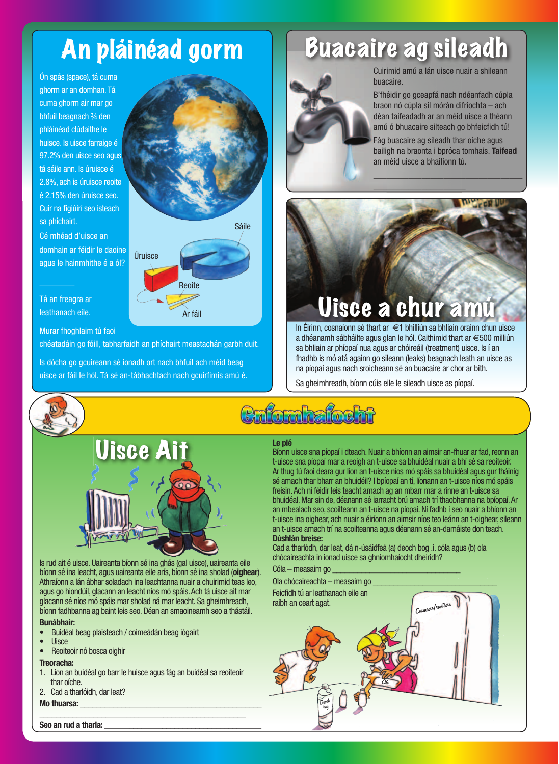## An pláinéad gorm

Ón spás (space), tá cuma ghorm ar an domhan. Tá cuma ghorm air mar go bhfuil beagnach ¾ den phláinéad clúdaithe le huisce. Is uisce farraige é 97.2% den uisce seo agus tá sáile ann. Is úruisce é 2.8%, ach is úruisce reoite é 2.15% den úruisce seo. Cuir na figiúirí seo isteach sa phíchairt.

Cé mhéad d'uisce an domhain ar féidir le daoine agus le hainmhithe é a ól?

Tá an freagra ar leathanach eile.

 $\frac{1}{2}$ 

#### Murar fhoghlaim tú faoi

chéatadáin go fóill, tabharfaidh an phíchairt meastachán garbh duit.

Úruisce

**Reoite** 

Ar fáil

Is dócha go gcuireann sé ionadh ort nach bhfuil ach méid beag uisce ar fáil le hól. Tá sé an-tábhachtach nach gcuirfimis amú é.



## Buacaire ag sileadh



Cuirimid amú a lán uisce nuair a shileann buacaire.

B'fhéidir go gceapfá nach ndéanfadh cúpla braon nó cúpla sil mórán difríochta – ach déan taifeadadh ar an méid uisce a théann amú ó bhuacaire silteach go bhfeicfidh tú!

Fág buacaire ag sileadh thar oíche agus bailigh na braonta i bpróca tomhais. **Taifead** an méid uisce a bhailíonn tú.

 $\frac{1}{2}$  ,  $\frac{1}{2}$  ,  $\frac{1}{2}$  ,  $\frac{1}{2}$  ,  $\frac{1}{2}$  ,  $\frac{1}{2}$  ,  $\frac{1}{2}$  ,  $\frac{1}{2}$  ,  $\frac{1}{2}$  ,  $\frac{1}{2}$ 

 $\frac{1}{2}$  ,  $\frac{1}{2}$  ,  $\frac{1}{2}$  ,  $\frac{1}{2}$  ,  $\frac{1}{2}$  ,  $\frac{1}{2}$  ,  $\frac{1}{2}$ 



In Éirinn, cosnaíonn sé thart ar €1 bhilliún sa bhliain orainn chun uisce a dhéanamh sábháilte agus glan le hól. Caithimid thart ar €500 milliún sa bhliain ar phíopaí nua agus ar chóireáil (treatment) uisce. Is í an fhadhb is mó atá againn go sileann (leaks) beagnach leath an uisce as na píopaí agus nach sroicheann sé an buacaire ar chor ar bith.

Sa gheimhreadh, bíonn cúis eile le sileadh uisce as píopaí.

## **Enfomhafocht**



Is rud ait é uisce. Uaireanta bíonn sé ina ghás (gal uisce), uaireanta eile bíonn sé ina leacht, agus uaireanta eile arís, bíonn sé ina sholad (**oighear**). Athraíonn a lán ábhar soladach ina leachtanna nuair a chuirimid teas leo, agus go hiondúil, glacann an leacht níos mó spáis. Ach tá uisce ait mar glacann sé níos mó spáis mar sholad ná mar leacht. Sa gheimhreadh, bíonn fadhbanna ag baint leis seo. Déan an smaoineamh seo a thástáil.

### **Bunábhair:**

- Buidéal beag plaisteach / coimeádán beag iógairt
- Uisce
- Reoiteoir nó bosca oighir

### **Treoracha:**

1. Líon an buidéal go barr le huisce agus fág an buidéal sa reoiteoir thar oíche.

\_\_\_\_\_\_\_\_\_\_\_\_\_\_\_\_\_\_\_\_\_\_\_\_\_\_\_\_\_\_\_\_\_\_\_\_\_\_\_\_\_\_\_\_\_\_\_\_\_\_

2. Cad a tharlóidh, dar leat?

**Mo thuarsa:** 

### **Le plé** Bíonn uisce sna píopaí i dteach. Nuair a bhíonn an aimsir an-fhuar ar fad, reonn an t-uisce sna píopaí mar a reoigh an t-uisce sa bhuidéal nuair a bhí sé sa reoiteoir. Ar thug tú faoi deara gur líon an t-uisce níos mó spáis sa bhuidéal agus gur tháinig sé amach thar bharr an bhuidéil? I bpíopaí an tí, líonann an t-uisce níos mó spáis freisin. Ach ní féidir leis teacht amach ag an mbarr mar a rinne an t-uisce sa bhuidéal. Mar sin de, déanann sé iarracht brú amach trí thaobhanna na bpíopaí. Ar an mbealach seo, scoilteann an t-uisce na píopaí. Ní fadhb í seo nuair a bhíonn an t-uisce ina oighear, ach nuair a éiríonn an aimsir níos teo leánn an t-oighear, sileann

an t-uisce amach trí na scoilteanna agus déanann sé an-damáiste don teach. **Dúshlán breise:** Cad a tharlódh, dar leat, dá n-úsáidfeá (a) deoch bog .i. cóla agus (b) ola

chócaireachta in ionad uisce sa ghníomhaíocht dheiridh?

Cóla – measaim go



Seo an rud a tharla: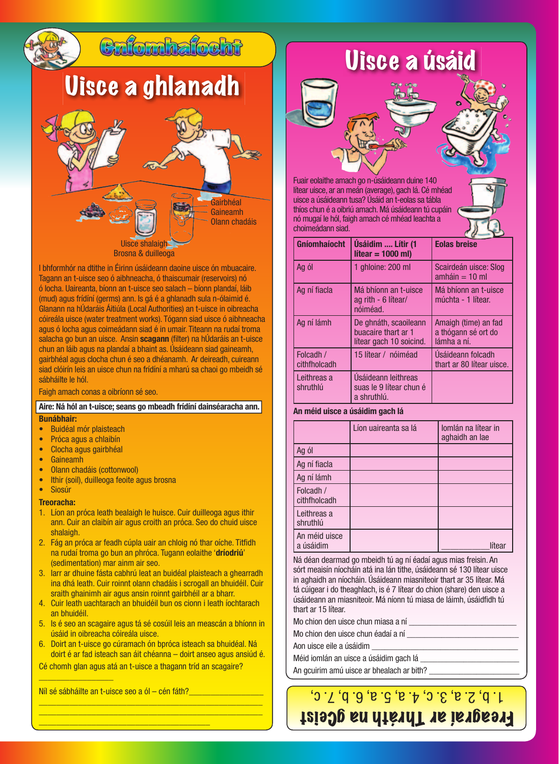

I bhformhór na dtithe in Éirinn úsáideann daoine uisce ón mbuacaire. Tagann an t-uisce seo ó aibhneacha, ó thaiscumair (reservoirs) nó ó locha. Uaireanta, bíonn an t-uisce seo salach – bíonn plandaí, láib (mud) agus frídíní (germs) ann. Is gá é a ghlanadh sula n-ólaimid é. Glanann na hÚdaráis Áitiúla (Local Authorities) an t-uisce in oibreacha cóireála uisce (water treatment works). Tógann siad uisce ó aibhneacha agus ó locha agus coimeádann siad é in umair. Titeann na rudaí troma salacha go bun an uisce. Ansin **scagann** (filter) na hÚdaráis an t-uisce chun an láib agus na plandaí a bhaint as. Úsáideann siad gaineamh, gairbhéal agus clocha chun é seo a dhéanamh. Ar deireadh, cuireann siad clóirín leis an uisce chun na frídíní a mharú sa chaoi go mbeidh sé sábháilte le hól.

Faigh amach conas a oibríonn sé seo.

#### **Aire: Ná hól an t-uisce; seans go mbeadh frídíní dainséaracha ann. Bunábhair:**

- Buidéal mór plaisteach • Próca agus a chlaibín
- Clocha agus gairbhéal
- Gaineamh
- Olann chadáis (cottonwool)
- Ithir (soil), duilleoga feoite agus brosna
- Siosúr

#### **Treoracha:**

- 1. Líon an próca leath bealaigh le huisce. Cuir duilleoga agus ithir ann. Cuir an claibín air agus croith an próca. Seo do chuid uisce shalaigh.
- 2. Fág an próca ar feadh cúpla uair an chloig nó thar oíche. Titfidh na rudaí troma go bun an phróca. Tugann eolaithe '**dríodriú**' (sedimentation) mar ainm air seo.
- 3. Iarr ar dhuine fásta cabhrú leat an buidéal plaisteach a ghearradh ina dhá leath. Cuir roinnt olann chadáis i scrogall an bhuidéil. Cuir sraith ghainimh air agus ansin roinnt gairbhéil ar a bharr.
- 4. Cuir leath uachtarach an bhuidéil bun os cionn i leath íochtarach an bhuidéil.
- 5. Is é seo an scagaire agus tá sé cosúil leis an meascán a bhíonn in úsáid in oibreacha cóireála uisce.
- 6. Doirt an t-uisce go cúramach ón bpróca isteach sa bhuidéal. Ná doirt é ar fad isteach san áit chéanna – doirt anseo agus ansiúd é.

\_\_\_\_\_\_\_\_\_\_\_\_\_\_\_\_\_\_\_\_\_\_\_\_\_\_\_\_\_\_\_\_\_\_\_\_\_\_\_\_\_\_\_\_\_\_\_\_\_\_\_ \_\_\_\_\_\_\_\_\_\_\_\_\_\_\_\_\_\_\_\_\_\_\_\_\_\_\_\_\_\_\_\_\_\_\_\_\_\_\_\_\_\_\_\_\_\_\_\_\_\_\_

Cé chomh glan agus atá an t-uisce a thagann tríd an scagaire?

Níl sé sábháilte an t-uisce seo a ól – cén fáth?

\_\_\_\_\_\_\_\_\_\_\_\_\_\_\_\_\_\_\_\_\_\_\_\_\_\_\_\_\_\_\_\_\_\_\_\_\_\_\_

 $\frac{1}{2}$  , where  $\frac{1}{2}$  , where  $\frac{1}{2}$  , where  $\frac{1}{2}$ 

## Uisce a úsáid

Fuair eolaithe amach go n-úsáideann duine 140 lítear uisce, ar an meán (average), gach lá. Cé mhéad uisce a úsáideann tusa? Úsáid an t-eolas sa tábla thíos chun é a oibriú amach. Má úsáideann tú cupáin nó mugaí le hól, faigh amach cé mhéad leachta a choimeádann siad.

| <b>Gníomhaíocht</b>       | Úsáidim  Lítir (1<br>$\text{lítear} = 1000 \text{ ml}$                  | <b>Eolas breise</b>                                        |
|---------------------------|-------------------------------------------------------------------------|------------------------------------------------------------|
| Ag ól                     | 1 ghloine: 200 ml                                                       | Scairdeán uisce: Slog<br>$amháin = 10 ml$                  |
| Ag ní fiacla              | Má bhíonn an t-uisce<br>ag rith - 6 lítear/<br>nóiméad.                 | Má bhíonn an t-uisce<br>múchta - 1 lítear.                 |
| Ag ní lámh                | De ghnáth, scaoileann<br>buacaire thart ar 1<br>lítear gach 10 soicind. | Amaigh (time) an fad<br>a thógann sé ort do<br>lámha a ní. |
| Folcadh /<br>cithfholcadh | 15 lítear / nóiméad                                                     | Usáideann folcadh<br>thart ar 80 lítear uisce.             |
| Leithreas a<br>shruthlú   | Úsáideann leithreas<br>suas le 9 lítear chun é<br>a shruthlú.           |                                                            |

### **An méid uisce a úsáidim gach lá**

|                            | Líon uaireanta sa lá | Iomlán na lítear in<br>aghaidh an lae |
|----------------------------|----------------------|---------------------------------------|
| Ag ól                      |                      |                                       |
| Ag ní fiacla               |                      |                                       |
| Ag ní lámh                 |                      |                                       |
| Folcadh /<br>cithfholcadh  |                      |                                       |
| Leithreas a<br>shruthlú    |                      |                                       |
| An méid uisce<br>a úsáidim |                      | lítear                                |

Ná déan dearmad go mbeidh tú ag ní éadaí agus mias freisin. An sórt meaisín níocháin atá ina lán tithe, úsáideann sé 130 lítear uisce in aghaidh an níocháin. Úsáideann miasniteoir thart ar 35 lítear. Má tá cúigear i do theaghlach, is é 7 lítear do chion (share) den uisce a úsáideann an miasniteoir. Má níonn tú miasa de láimh, úsáidfidh tú thart ar 15 lítear.

Mo chion den uisce chun miasa a ní \_\_\_\_\_\_\_\_\_\_\_\_\_\_\_\_\_\_\_\_\_\_\_\_\_

Mo chion den uisce chun éadaí a ní

Aon uisce eile a úsáidim \_\_\_\_\_\_\_\_\_\_\_\_\_\_\_\_\_\_\_\_\_\_\_\_\_\_\_\_\_\_\_\_\_\_

Méid iomlán an uisce a úsáidim gach lá

An gcuirim amú uisce ar bhealach ar bith?

### 1. b, 2. a, 3. c, 4. a, 5. a, 6. b, 7. c, Freagraí ar Thráth na gCeist